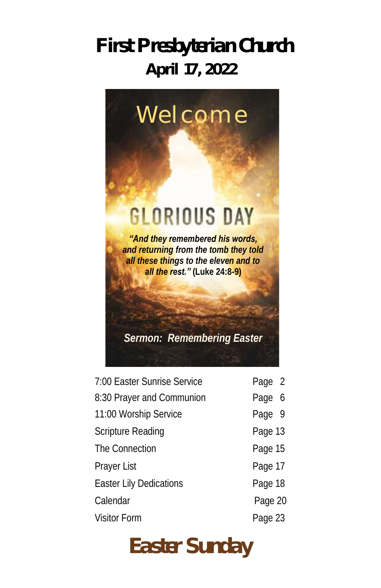# **First Presbyterian Church April 17, 2022**



| 7:00 Easter Sunrise Service | Page 2  |
|-----------------------------|---------|
| 8:30 Prayer and Communion   | Page 6  |
| 11:00 Worship Service       | Page 9  |
| Scripture Reading           | Page 13 |
| The Connection              | Page 15 |
| Prayer List                 | Page 17 |
| Easter Lily Dedications     | Page 18 |
| Calendar                    | Page 20 |
| <b>Visitor Form</b>         | Page 23 |

# **Easter Sunday**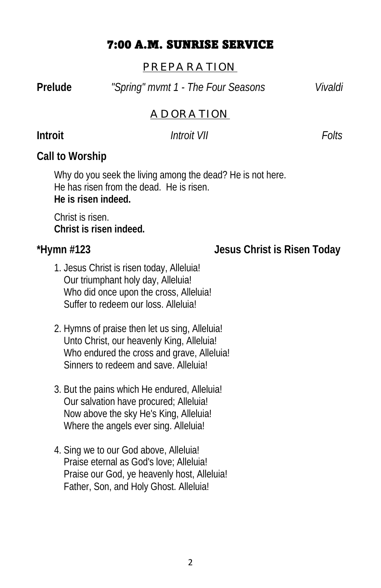#### 7:00 A.M. SUNRISE SERVICE

#### *PREPARATION*

**Prelude** *"Spring" mvmt 1 - The Four Seasons Vivaldi*

#### *ADORATION*

#### **Introit** *Introit VII Folts*

**Call to Worship**

Why do you seek the living among the dead? He is not here. He has risen from the dead. He is risen. **He is risen indeed.**

Christ is risen. **Christ is risen indeed.**

#### **\*Hymn #123 Jesus Christ is Risen Today**

- 1. Jesus Christ is risen today, Alleluia! Our triumphant holy day, Alleluia! Who did once upon the cross, Alleluia! Suffer to redeem our loss. Alleluia!
- 2. Hymns of praise then let us sing, Alleluia! Unto Christ, our heavenly King, Alleluia! Who endured the cross and grave, Alleluia! Sinners to redeem and save. Alleluia!
- 3. But the pains which He endured, Alleluia! Our salvation have procured; Alleluia! Now above the sky He's King, Alleluia! Where the angels ever sing. Alleluia!
- 4. Sing we to our God above, Alleluia! Praise eternal as God's love; Alleluia! Praise our God, ye heavenly host, Alleluia! Father, Son, and Holy Ghost. Alleluia!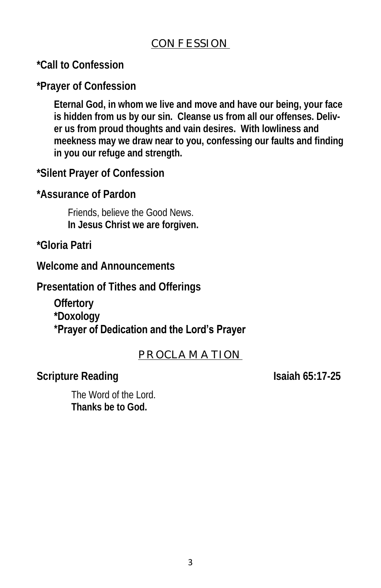#### *CONFESSION*

**\*Call to Confession**

**\*Prayer of Confession**

**Eternal God, in whom we live and move and have our being, your face is hidden from us by our sin. Cleanse us from all our offenses. Deliver us from proud thoughts and vain desires. With lowliness and meekness may we draw near to you, confessing our faults and finding in you our refuge and strength.**

**\*Silent Prayer of Confession**

**\*Assurance of Pardon**

Friends, believe the Good News. **In Jesus Christ we are forgiven.**

**\*Gloria Patri**

**Welcome and Announcements** 

**Presentation of Tithes and Offerings**

**Offertory** 

**\*Doxology**

#### **\*Prayer of Dedication and the Lord's Prayer**

#### *PROCLAMATION*

**Scripture Reading Isaiah 65:17-25** 

The Word of the Lord. **Thanks be to God.**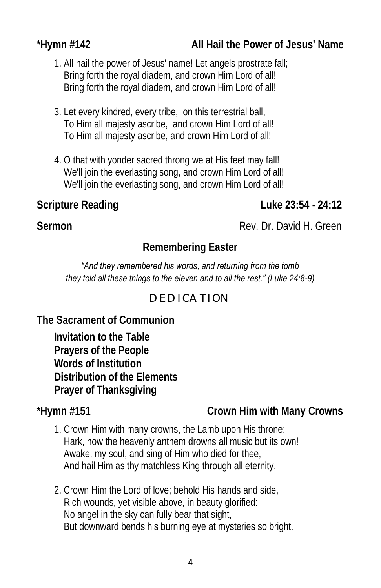1. All hail the power of Jesus' name! Let angels prostrate fall; Bring forth the royal diadem, and crown Him Lord of all! Bring forth the royal diadem, and crown Him Lord of all!

- 3. Let every kindred, every tribe, on this terrestrial ball, To Him all majesty ascribe, and crown Him Lord of all! To Him all majesty ascribe, and crown Him Lord of all!
- 4. O that with yonder sacred throng we at His feet may fall! We'll join the everlasting song, and crown Him Lord of all! We'll join the everlasting song, and crown Him Lord of all!

**Scripture Reading Luke 23:54 - 24:12** 

#### **Remembering Easter**

#### *"And they remembered his words, and returning from the tomb they told all these things to the eleven and to all the rest." (Luke 24:8-9)*

#### *DEDICATION*

**The Sacrament of Communion**

**Invitation to the Table Prayers of the People Words of Institution Distribution of the Elements Prayer of Thanksgiving**

**\*Hymn #151 Crown Him with Many Crowns**

- 1. Crown Him with many crowns, the Lamb upon His throne; Hark, how the heavenly anthem drowns all music but its own! Awake, my soul, and sing of Him who died for thee, And hail Him as thy matchless King through all eternity.
- 2. Crown Him the Lord of love; behold His hands and side, Rich wounds, yet visible above, in beauty glorified: No angel in the sky can fully bear that sight, But downward bends his burning eye at mysteries so bright.

**Sermon Rev. Dr. David H. Green**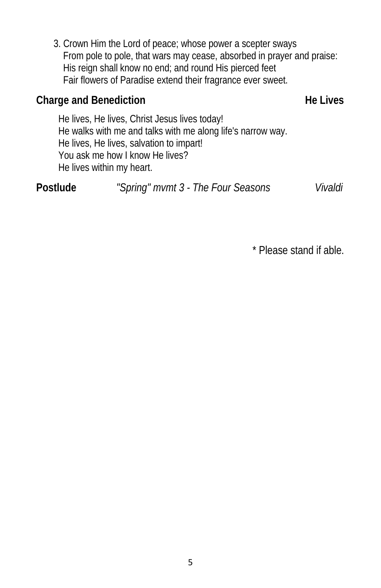3. Crown Him the Lord of peace; whose power a scepter sways From pole to pole, that wars may cease, absorbed in prayer and praise: His reign shall know no end; and round His pierced feet Fair flowers of Paradise extend their fragrance ever sweet.

#### Charge and Benediction **Example 20 and Separate Serverse Example 20 and Serverse Example 20 and Serverse Example 20 and Serverse Example 20 and 20 and 20 and 20 and 20 and 20 and 20 and 20 and 20 and 20 and 20 and 20 and 2**

He lives, He lives, Christ Jesus lives today! He walks with me and talks with me along life's narrow way. He lives, He lives, salvation to impart! You ask me how I know He lives? He lives within my heart.

**Postlude** *"Spring" mvmt 3 - The Four Seasons Vivaldi* 

\* Please stand if able.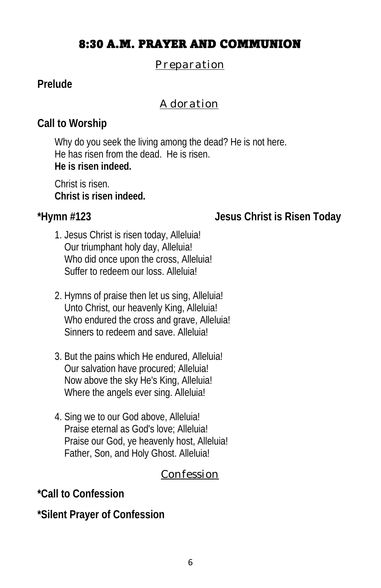#### 8:30 A.M. PRAYER AND COMMUNION

#### *Preparation*

#### **Prelude**

#### *Adoration*

#### **Call to Worship**

Why do you seek the living among the dead? He is not here. He has risen from the dead. He is risen. **He is risen indeed.**

Christ is risen. **Christ is risen indeed.**

**\*Hymn #123 Jesus Christ is Risen Today**

- 1. Jesus Christ is risen today, Alleluia! Our triumphant holy day, Alleluia! Who did once upon the cross, Alleluia! Suffer to redeem our loss. Alleluia!
- 2. Hymns of praise then let us sing, Alleluia! Unto Christ, our heavenly King, Alleluia! Who endured the cross and grave, Alleluia! Sinners to redeem and save. Alleluia!
- 3. But the pains which He endured, Alleluia! Our salvation have procured; Alleluia! Now above the sky He's King, Alleluia! Where the angels ever sing. Alleluia!
- 4. Sing we to our God above, Alleluia! Praise eternal as God's love; Alleluia! Praise our God, ye heavenly host, Alleluia! Father, Son, and Holy Ghost. Alleluia!

#### *Confession*

**\*Call to Confession** 

**\*Silent Prayer of Confession**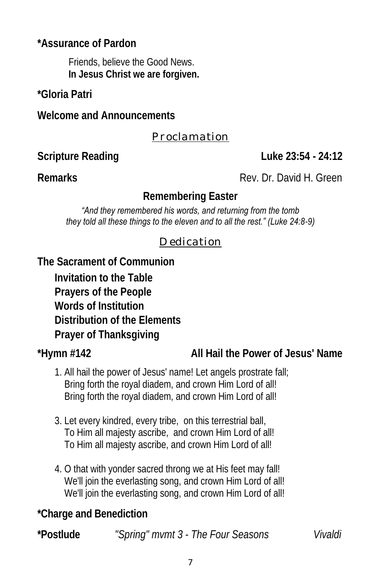**\*Assurance of Pardon** 

Friends, believe the Good News. **In Jesus Christ we are forgiven.**

**\*Gloria Patri**

**Welcome and Announcements**

#### *Proclamation*

**Scripture Reading Constraining Luke 23:54 - 24:12** 

**Remarks** Rev. Dr. David H. Green

#### **Remembering Easter**

*"And they remembered his words, and returning from the tomb they told all these things to the eleven and to all the rest." (Luke 24:8-9)*

#### *Dedication*

**The Sacrament of Communion** 

**Invitation to the Table Prayers of the People Words of Institution Distribution of the Elements Prayer of Thanksgiving** 

**\*Hymn #142 All Hail the Power of Jesus' Name**

- 1. All hail the power of Jesus' name! Let angels prostrate fall; Bring forth the royal diadem, and crown Him Lord of all! Bring forth the royal diadem, and crown Him Lord of all!
- 3. Let every kindred, every tribe, on this terrestrial ball, To Him all majesty ascribe, and crown Him Lord of all! To Him all majesty ascribe, and crown Him Lord of all!
- 4. O that with yonder sacred throng we at His feet may fall! We'll join the everlasting song, and crown Him Lord of all! We'll join the everlasting song, and crown Him Lord of all!

**\*Charge and Benediction** 

**\*Postlude** *"Spring" mvmt 3 - The Four Seasons Vivaldi*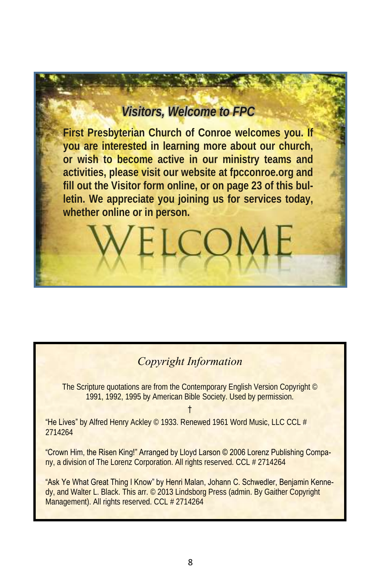#### *Visitors, Welcome to FPC*

**First Presbyterian Church of Conroe welcomes you. If you are interested in learning more about our church, or wish to become active in our ministry teams and activities, please visit our website at fpcconroe.org and fill out the Visitor form online, or on page 23 of this bulletin. We appreciate you joining us for services today, whether online or in person.**

#### *Copyright Information*

The Scripture quotations are from the Contemporary English Version Copyright © 1991, 1992, 1995 by American Bible Society. Used by permission.

†

"He Lives" by Alfred Henry Ackley © 1933. Renewed 1961 Word Music, LLC CCL # 2714264

"Crown Him, the Risen King!" Arranged by Lloyd Larson © 2006 Lorenz Publishing Company, a division of The Lorenz Corporation. All rights reserved. CCL # 2714264

"Ask Ye What Great Thing I Know" by Henri Malan, Johann C. Schwedler, Benjamin Kennedy, and Walter L. Black. This arr. © 2013 Lindsborg Press (admin. By Gaither Copyright Management). All rights reserved. CCL # 2714264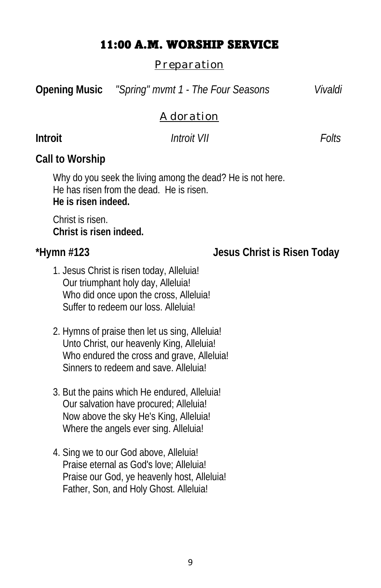#### 11:00 A.M. WORSHIP SERVICE

#### *Preparation*

**Opening Music** *"Spring" mvmt 1 - The Four Seasons Vivaldi*

#### *Adoration*

#### **Introit** *Introit VII Folts*

**Call to Worship**

Why do you seek the living among the dead? He is not here. He has risen from the dead. He is risen. **He is risen indeed.**

Christ is risen. **Christ is risen indeed.** 

#### **\*Hymn #123 Jesus Christ is Risen Today**

- 1. Jesus Christ is risen today, Alleluia! Our triumphant holy day, Alleluia! Who did once upon the cross, Alleluia! Suffer to redeem our loss. Alleluia!
- 2. Hymns of praise then let us sing, Alleluia! Unto Christ, our heavenly King, Alleluia! Who endured the cross and grave, Alleluia! Sinners to redeem and save. Alleluial
- 3. But the pains which He endured, Alleluia! Our salvation have procured; Alleluia! Now above the sky He's King, Alleluia! Where the angels ever sing. Alleluia!
- 4. Sing we to our God above, Alleluia! Praise eternal as God's love; Alleluia! Praise our God, ye heavenly host, Alleluia! Father, Son, and Holy Ghost. Alleluia!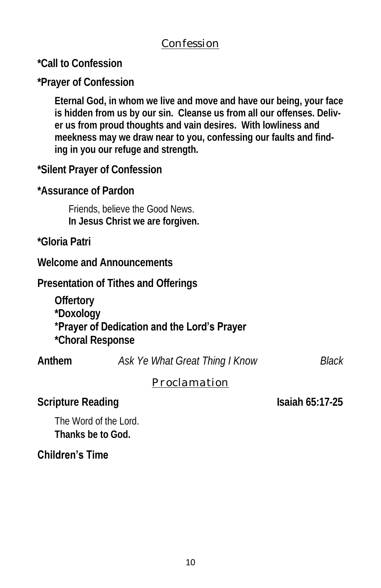#### *Confession*

**\*Call to Confession** 

**\*Prayer of Confession**

**Eternal God, in whom we live and move and have our being, your face is hidden from us by our sin. Cleanse us from all our offenses. Deliver us from proud thoughts and vain desires. With lowliness and meekness may we draw near to you, confessing our faults and finding in you our refuge and strength.**

**\*Silent Prayer of Confession**

**\*Assurance of Pardon** 

Friends, believe the Good News. **In Jesus Christ we are forgiven.**

**\*Gloria Patri**

**Welcome and Announcements**

**Presentation of Tithes and Offerings** 

**Offertory** 

**\*Doxology**

#### **\*Prayer of Dedication and the Lord's Prayer**

**\*Choral Response** 

| Anthem | Ask Ye What Great Thing I Know | Black |
|--------|--------------------------------|-------|
|        |                                |       |

#### *Proclamation*

**Scripture Reading Isaiah 65:17-25** 

The Word of the Lord. **Thanks be to God.**

#### **Children's Time**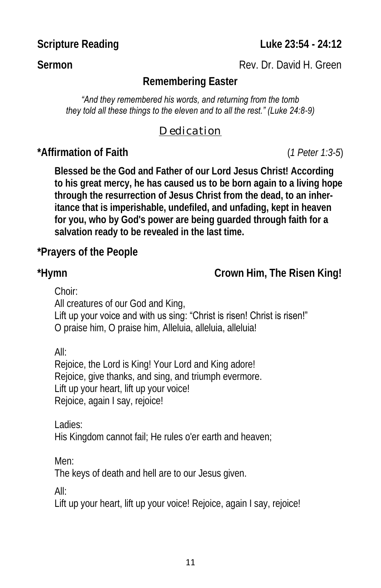**Scripture Reading Luke 23:54 - 24:12** 

**Sermon** Rev. Dr. David H. Green

#### **Remembering Easter**

*"And they remembered his words, and returning from the tomb they told all these things to the eleven and to all the rest." (Luke 24:8-9)*

#### *Dedication*

**\*Affirmation of Faith** (*1 Peter 1:3-5*)

**Blessed be the God and Father of our Lord Jesus Christ! According to his great mercy, he has caused us to be born again to a living hope through the resurrection of Jesus Christ from the dead, to an inheritance that is imperishable, undefiled, and unfading, kept in heaven for you, who by God's power are being guarded through faith for a salvation ready to be revealed in the last time.**

**\*Prayers of the People**

**\*Hymn Crown Him, The Risen King!**

Choir:

All creatures of our God and King,

Lift up your voice and with us sing: "Christ is risen! Christ is risen!" O praise him, O praise him, Alleluia, alleluia, alleluia!

All:

Rejoice, the Lord is King! Your Lord and King adore! Rejoice, give thanks, and sing, and triumph evermore. Lift up your heart, lift up your voice! Rejoice, again I say, rejoice!

Ladies: His Kingdom cannot fail; He rules o'er earth and heaven;

Men:

The keys of death and hell are to our Jesus given.

All:

Lift up your heart, lift up your voice! Rejoice, again I say, rejoice!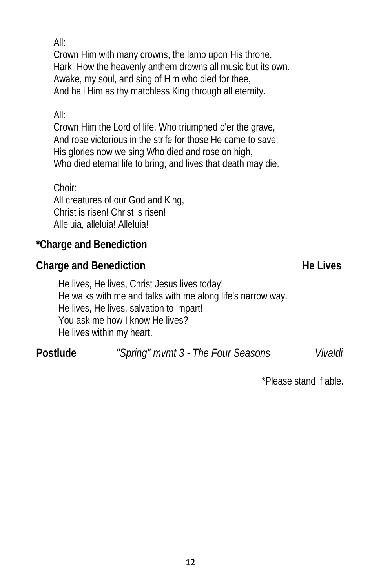All:

Crown Him with many crowns, the lamb upon His throne. Hark! How the heavenly anthem drowns all music but its own. Awake, my soul, and sing of Him who died for thee, And hail Him as thy matchless King through all eternity.

#### All:

Crown Him the Lord of life, Who triumphed o'er the grave, And rose victorious in the strife for those He came to save; His glories now we sing Who died and rose on high, Who died eternal life to bring, and lives that death may die.

#### Choir:

All creatures of our God and King, Christ is risen! Christ is risen! Alleluia, alleluia! Alleluia!

**\*Charge and Benediction** 

Charge and Benediction **He Lives He Lives** 

He lives, He lives, Christ Jesus lives today! He walks with me and talks with me along life's narrow way. He lives, He lives, salvation to impart! You ask me how I know He lives? He lives within my heart.

**Postlude** *"Spring" mvmt 3 - The Four Seasons Vivaldi* 

\*Please stand if able.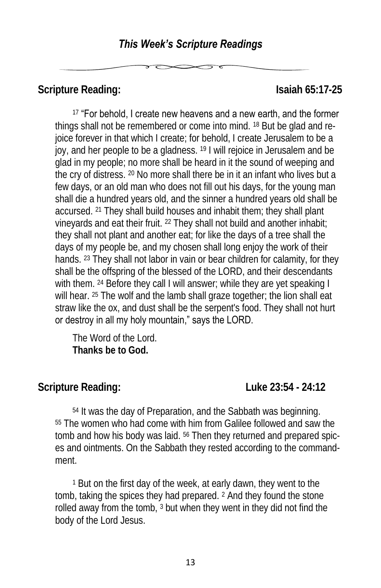Scripture Reading: **Islaming** Scripture Reading:

<sup>17</sup> "For behold, I create new heavens and a new earth, and the former things shall not be remembered or come into mind. <sup>18</sup> But be glad and rejoice forever in that which I create; for behold, I create Jerusalem to be a joy, and her people to be a gladness. <sup>19</sup> I will rejoice in Jerusalem and be glad in my people; no more shall be heard in it the sound of weeping and the cry of distress. <sup>20</sup> No more shall there be in it an infant who lives but a few days, or an old man who does not fill out his days, for the young man shall die a hundred years old, and the sinner a hundred years old shall be accursed. <sup>21</sup> They shall build houses and inhabit them; they shall plant vineyards and eat their fruit. <sup>22</sup> They shall not build and another inhabit; they shall not plant and another eat; for like the days of a tree shall the days of my people be, and my chosen shall long enjoy the work of their hands. <sup>23</sup> They shall not labor in vain or bear children for calamity, for they shall be the offspring of the blessed of the LORD, and their descendants with them. <sup>24</sup> Before they call I will answer; while they are yet speaking I will hear. <sup>25</sup> The wolf and the lamb shall graze together; the lion shall eat straw like the ox, and dust shall be the serpent's food. They shall not hurt or destroy in all my holy mountain," says the LORD.

The Word of the Lord. **Thanks be to God.**

**Scripture Reading: Luke 23:54 - 24:12**

<sup>54</sup> It was the day of Preparation, and the Sabbath was beginning. <sup>55</sup> The women who had come with him from Galilee followed and saw the tomb and how his body was laid. <sup>56</sup> Then they returned and prepared spices and ointments. On the Sabbath they rested according to the commandment.

<sup>1</sup> But on the first day of the week, at early dawn, they went to the tomb, taking the spices they had prepared. <sup>2</sup> And they found the stone rolled away from the tomb, <sup>3</sup> but when they went in they did not find the body of the Lord Jesus.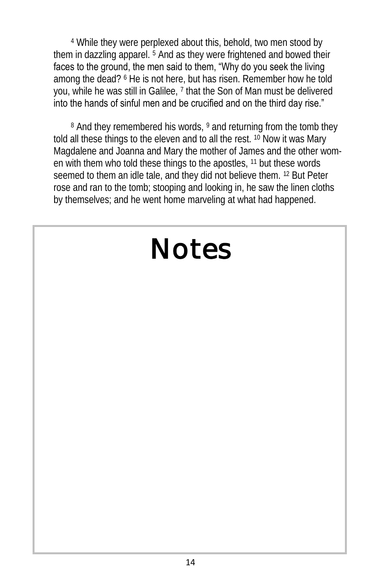<sup>4</sup> While they were perplexed about this, behold, two men stood by them in dazzling apparel. <sup>5</sup> And as they were frightened and bowed their faces to the ground, the men said to them, "Why do you seek the living among the dead? <sup>6</sup> He is not here, but has risen. Remember how he told you, while he was still in Galilee, <sup>7</sup> that the Son of Man must be delivered into the hands of sinful men and be crucified and on the third day rise."

8 And they remembered his words, 9 and returning from the tomb they told all these things to the eleven and to all the rest. <sup>10</sup> Now it was Mary Magdalene and Joanna and Mary the mother of James and the other women with them who told these things to the apostles, <sup>11</sup> but these words seemed to them an idle tale, and they did not believe them. <sup>12</sup> But Peter rose and ran to the tomb; stooping and looking in, he saw the linen cloths by themselves; and he went home marveling at what had happened.

# *Notes*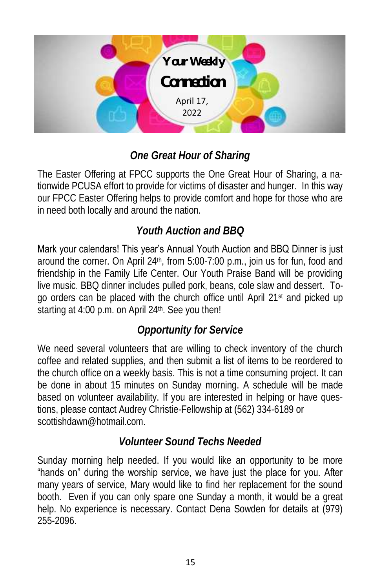

### *One Great Hour of Sharing*

The Easter Offering at FPCC supports the One Great Hour of Sharing, a nationwide PCUSA effort to provide for victims of disaster and hunger. In this way our FPCC Easter Offering helps to provide comfort and hope for those who are in need both locally and around the nation.

#### *Youth Auction and BBQ*

Mark your calendars! This year's Annual Youth Auction and BBQ Dinner is just around the corner. On April 24<sup>th</sup>, from 5:00-7:00 p.m., join us for fun, food and friendship in the Family Life Center. Our Youth Praise Band will be providing live music. BBQ dinner includes pulled pork, beans, cole slaw and dessert. Togo orders can be placed with the church office until April 21st and picked up starting at 4:00 p.m. on April 24<sup>th</sup>. See you then!

#### *Opportunity for Service*

We need several volunteers that are willing to check inventory of the church coffee and related supplies, and then submit a list of items to be reordered to the church office on a weekly basis. This is not a time consuming project. It can be done in about 15 minutes on Sunday morning. A schedule will be made based on volunteer availability. If you are interested in helping or have questions, please contact Audrey Christie-Fellowship at (562) 334-6189 or scottishdawn@hotmail.com

#### *Volunteer Sound Techs Needed*

Sunday morning help needed. If you would like an opportunity to be more "hands on" during the worship service, we have just the place for you. After many years of service, Mary would like to find her replacement for the sound booth. Even if you can only spare one Sunday a month, it would be a great help. No experience is necessary. Contact Dena Sowden for details at (979) 255-2096.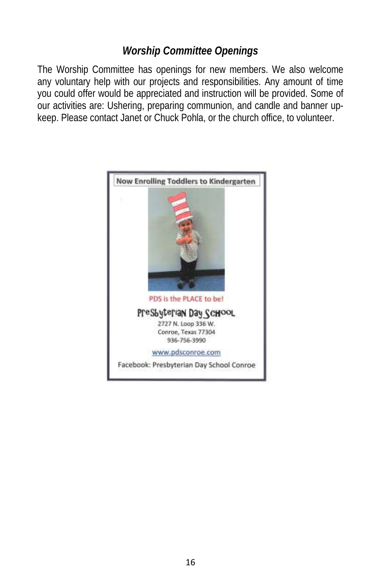#### *Worship Committee Openings*

The Worship Committee has openings for new members. We also welcome any voluntary help with our projects and responsibilities. Any amount of time you could offer would be appreciated and instruction will be provided. Some of our activities are: Ushering, preparing communion, and candle and banner upkeep. Please contact Janet or Chuck Pohla, or the church office, to volunteer.

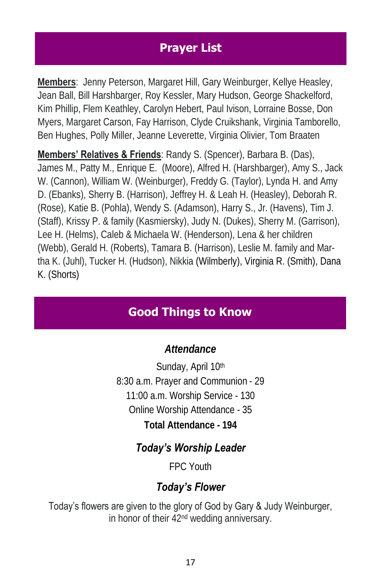#### **Prayer List**

**Members**: Jenny Peterson, Margaret Hill, Gary Weinburger, Kellye Heasley, Jean Ball, Bill Harshbarger, Roy Kessler, Mary Hudson, George Shackelford, Kim Phillip, Flem Keathley, Carolyn Hebert, Paul Ivison, Lorraine Bosse, Don Myers, Margaret Carson, Fay Harrison, Clyde Cruikshank, Virginia Tamborello, Ben Hughes, Polly Miller, Jeanne Leverette, Virginia Olivier, Tom Braaten

**Members' Relatives & Friends**: Randy S. (Spencer), Barbara B. (Das), James M., Patty M., Enrique E. (Moore), Alfred H. (Harshbarger), Amy S., Jack W. (Cannon), William W. (Weinburger), Freddy G. (Taylor), Lynda H. and Amy D. (Ebanks), Sherry B. (Harrison), Jeffrey H. & Leah H. (Heasley), Deborah R. (Rose), Katie B. (Pohla), Wendy S. (Adamson), Harry S., Jr. (Havens), Tim J. (Staff), Krissy P. & family (Kasmiersky), Judy N. (Dukes), Sherry M. (Garrison), Lee H. (Helms), Caleb & Michaela W. (Henderson), Lena & her children (Webb), Gerald H. (Roberts), Tamara B. (Harrison), Leslie M. family and Martha K. (Juhl), Tucker H. (Hudson), Nikkia (Wilmberly), Virginia R. (Smith), Dana K. (Shorts)

#### **Good Things to Know**

#### *Attendance*

Sunday, April 10th 8:30 a.m. Prayer and Communion - 29 11:00 a.m. Worship Service - 130 Online Worship Attendance - 35 **Total Attendance - 194**

#### *Today's Worship Leader*

FPC Youth

#### *Today's Flower*

Today's flowers are given to the glory of God by Gary & Judy Weinburger, in honor of their 42nd wedding anniversary.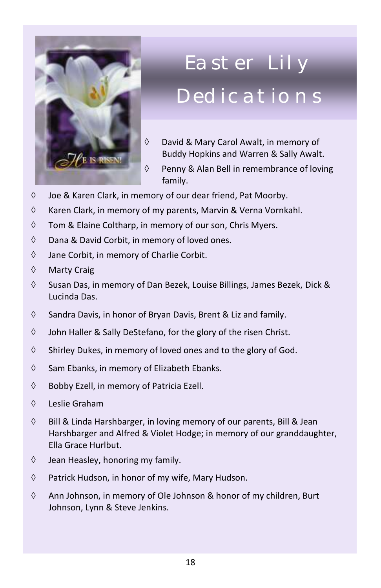

## **Saturday, September 26, 2009 The Monet Sale in the Pedications** Easter Lily

- **Caroline and Science a table to sell your pay of the sell your carol Awalt, in memory of** Buddy Hopkins and Warren & Sally Awalt.
- WE IS RISEN! customer to a central cashier who will have been cashier who will have been contracted by  $\sim$ family.
- $\Diamond$  Joe & Karen Clark, in memory of our dear friend, Pat Moorby.
- $\Diamond$  Karen Clark, in memory of my parents, Marvin & Verna Vornkahl.
- $\Diamond$  Tom & Elaine Coltharp, in memory of our son, Chris Myers.
- $\Diamond$  Dana & David Corbit, in memory of loved ones.
- $\Diamond$  Jane Corbit, in memory of Charlie Corbit.<br>  $\Diamond$  Marty Crain
- ♦ Marty Craig
- **Sunday, August 23rd: 9 am - 1 pm.** We need everyone's ↓ Susan Das, in memory of Dan Bezek, Louise Billings, James Bezek, Dick & includes preparing Lunches preparing Lunches to Go, Testimonials, Lunches to Go, Testimonials, Lunches to Go, <br>Lunches to Go, Testimonials, Lunches to Go, Testimonials, Lunches to Go, Testimonials, Lunches to Go, Testimo Lucinda Das.
- $\Diamond$  Sandra Davis, in honor of Bryan Davis, Brent & Liz and family.
- $\Diamond$  **John Haller & Sally DeStefano, for the glory of the risen Christ.**
- $\Diamond$  Shirley Dukes, in memory of loved ones and to the glory of God.
- **Sunday, August 30th: Home Group Bible Study** for both  $\Diamond$  Sam Ebanks, in memory of Elizabeth Ebanks.
- $\Diamond$  Bobby Ezell, in memory of Patricia Ezell.
- Leslie Graham
- $\Diamond$  Bill & Linda Harshbarger, in loving memory of our parents, Bill & Jean Harshbarger and Alfred & Violet Hodge; in memory of our granddaughter, Ella Grace Hurlbut.
- $\Diamond$  Jean Heasley, honoring my family.
- $\Diamond$  Patrick Hudson, in honor of my wife, Mary Hudson.
- $\Diamond$  Ann Johnson, in memory of Ole Johnson & honor of my children, Burt Johnson, Lynn & Steve Jenkins.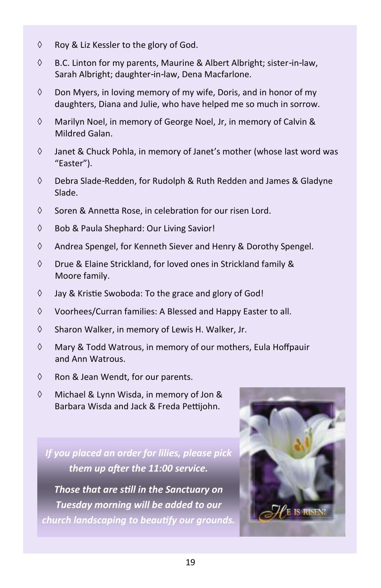- $\Diamond$  Roy & Liz Kessler to the glory of God.
- $\lozenge$  B.C. Linton for my parents, Maurine & Albert Albright; sister-in-law, Sarah Albright; daughter-in-law, Dena Macfarlone.
- $\Diamond$  Don Myers, in loving memory of my wife, Doris, and in honor of my daughters, Diana and Julie, who have helped me so much in sorrow.
- $\Diamond$  Marilyn Noel, in memory of George Noel, Jr, in memory of Calvin & Mildred Galan.
- $\Diamond$  Janet & Chuck Pohla, in memory of Janet's mother (whose last word was "Easter").
- Debra Slade-Redden, for Rudolph & Ruth Redden and James & Gladyne Slade.
- $\Diamond$  Soren & Annetta Rose, in celebration for our risen Lord.
- Bob & Paula Shephard: Our Living Savior!
- $\Diamond$  Andrea Spengel, for Kenneth Siever and Henry & Dorothy Spengel.
- $\Diamond$  Drue & Elaine Strickland, for loved ones in Strickland family & Moore family.
- $\Diamond$  Jay & Kristie Swoboda: To the grace and glory of God!
- $\Diamond$  Voorhees/Curran families: A Blessed and Happy Easter to all.
- $\Diamond$  Sharon Walker, in memory of Lewis H. Walker, Jr.
- $\Diamond$  Mary & Todd Watrous, in memory of our mothers, Eula Hoffpauir and Ann Watrous.
- $\Diamond$  Ron & Jean Wendt, for our parents.
- Michael & Lynn Wisda, in memory of Jon & Barbara Wisda and Jack & Freda Pettijohn.

*If you placed an order for lilies, please pick them up after the 11:00 service.* 

*Those that are still in the Sanctuary on Tuesday morning will be added to our church landscaping to beautify our grounds.*

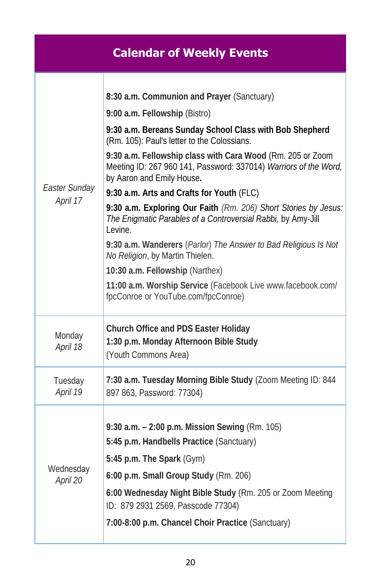|                           | <b>Calendar of Weekly Events</b>                                                                                                                                                                                                                                                                                                                                                                                                                                                                                                                                                                                                                                                                                                                                                               |
|---------------------------|------------------------------------------------------------------------------------------------------------------------------------------------------------------------------------------------------------------------------------------------------------------------------------------------------------------------------------------------------------------------------------------------------------------------------------------------------------------------------------------------------------------------------------------------------------------------------------------------------------------------------------------------------------------------------------------------------------------------------------------------------------------------------------------------|
| Easter Sunday<br>April 17 | 8:30 a.m. Communion and Prayer (Sanctuary)<br>9:00 a.m. Fellowship (Bistro)<br>9:30 a.m. Bereans Sunday School Class with Bob Shepherd<br>(Rm. 105): Paul's letter to the Colossians.<br>9:30 a.m. Fellowship class with Cara Wood (Rm. 205 or Zoom<br>Meeting ID: 267 960 141, Password: 337014) Warriors of the Word,<br>by Aaron and Emily House.<br>9:30 a.m. Arts and Crafts for Youth (FLC)<br>9:30 a.m. Exploring Our Faith (Rm. 206) Short Stories by Jesus:<br>The Enigmatic Parables of a Controversial Rabbi, by Amy-Jill<br>Levine.<br>9:30 a.m. Wanderers (Parlor) The Answer to Bad Religious Is Not<br>No Religion, by Martin Thielen.<br>10:30 a.m. Fellowship (Narthex)<br>11:00 a.m. Worship Service (Facebook Live www.facebook.com/<br>fpcConroe or YouTube.com/fpcConroe) |
| Monday<br>April 18        | Church Office and PDS Easter Holiday<br>1:30 p.m. Monday Afternoon Bible Study<br>(Youth Commons Area)                                                                                                                                                                                                                                                                                                                                                                                                                                                                                                                                                                                                                                                                                         |
| Tuesday<br>April 19       | 7:30 a.m. Tuesday Morning Bible Study (Zoom Meeting ID: 844<br>897 863, Password: 77304)                                                                                                                                                                                                                                                                                                                                                                                                                                                                                                                                                                                                                                                                                                       |
| Wednesday<br>April 20     | 9:30 a.m. - 2:00 p.m. Mission Sewing (Rm. 105)<br>5:45 p.m. Handbells Practice (Sanctuary)<br>5:45 p.m. The Spark (Gym)<br>6:00 p.m. Small Group Study (Rm. 206)<br>6:00 Wednesday Night Bible Study (Rm. 205 or Zoom Meeting<br>ID: 879 2931 2569, Passcode 77304)<br>7:00-8:00 p.m. Chancel Choir Practice (Sanctuary)                                                                                                                                                                                                                                                                                                                                                                                                                                                                       |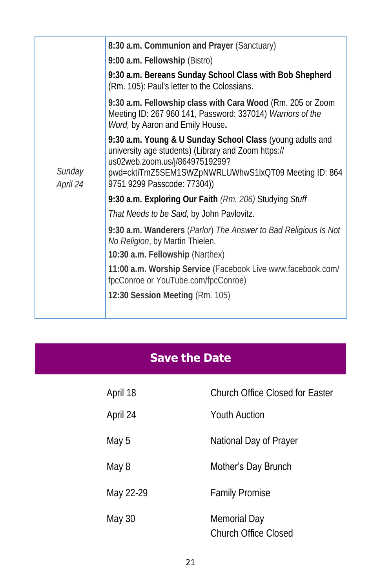|          | 8:30 a.m. Communion and Prayer (Sanctuary)                                                                                                                                                                 |
|----------|------------------------------------------------------------------------------------------------------------------------------------------------------------------------------------------------------------|
|          | 9:00 a.m. Fellowship (Bistro)                                                                                                                                                                              |
|          | 9:30 a.m. Bereans Sunday School Class with Bob Shepherd<br>(Rm. 105): Paul's letter to the Colossians.                                                                                                     |
|          | 9:30 a.m. Fellowship class with Cara Wood (Rm. 205 or Zoom<br>Meeting ID: 267 960 141, Password: 337014) Warriors of the<br>Word, by Aaron and Emily House.                                                |
| Sunday   | 9:30 a.m. Young & U Sunday School Class (young adults and<br>university age students) (Library and Zoom https://<br>us02web.zoom.us/j/86497519299?<br>pwd=cktiTmZ5SEM1SWZpNWRLUWhwS1lxQT09 Meeting ID: 864 |
| April 24 | 9751 9299 Passcode: 77304))                                                                                                                                                                                |
|          | 9:30 a.m. Exploring Our Faith (Rm. 206) Studying Stuff                                                                                                                                                     |
|          | That Needs to be Said, by John Pavlovitz.                                                                                                                                                                  |
|          | 9:30 a.m. Wanderers (Parlor) The Answer to Bad Religious Is Not<br>No Religion, by Martin Thielen.                                                                                                         |
|          | 10:30 a.m. Fellowship (Narthex)                                                                                                                                                                            |
|          | 11:00 a.m. Worship Service (Facebook Live www.facebook.com/<br>fpcConroe or YouTube.com/fpcConroe)                                                                                                         |
|          | 12:30 Session Meeting (Rm. 105)                                                                                                                                                                            |
|          |                                                                                                                                                                                                            |

### **Save the Date**

| April 18  | Church Office Closed for Easter             |
|-----------|---------------------------------------------|
| April 24  | Youth Auction                               |
| May 5     | National Day of Prayer                      |
| May 8     | Mother's Day Brunch                         |
| May 22-29 | <b>Family Promise</b>                       |
| May 30    | Memorial Day<br><b>Church Office Closed</b> |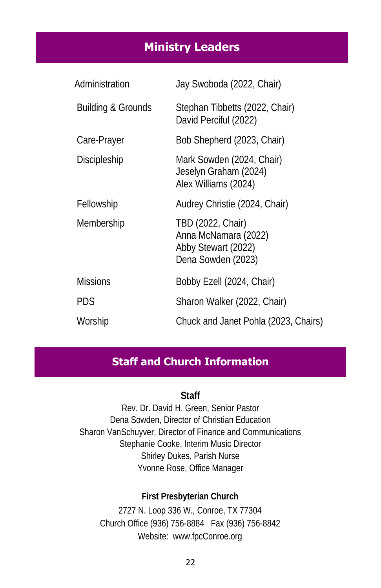#### **Ministry Leaders**

| Administration     | Jay Swoboda (2022, Chair)                                                              |
|--------------------|----------------------------------------------------------------------------------------|
| Building & Grounds | Stephan Tibbetts (2022, Chair)<br>David Perciful (2022)                                |
| Care-Prayer        | Bob Shepherd (2023, Chair)                                                             |
| Discipleship       | Mark Sowden (2024, Chair)<br>Jeselyn Graham (2024)<br>Alex Williams (2024)             |
| Fellowship         | Audrey Christie (2024, Chair)                                                          |
| Membership         | TBD (2022, Chair)<br>Anna McNamara (2022)<br>Abby Stewart (2022)<br>Dena Sowden (2023) |
| <b>Missions</b>    | Bobby Ezell (2024, Chair)                                                              |
| <b>PDS</b>         | Sharon Walker (2022, Chair)                                                            |
| Worship            | Chuck and Janet Pohla (2023, Chairs)                                                   |

#### **Staff and Church Information**

**Staff**

Rev. Dr. David H. Green, Senior Pastor Dena Sowden, Director of Christian Education Sharon VanSchuyver, Director of Finance and Communications Stephanie Cooke, Interim Music Director Shirley Dukes, Parish Nurse Yvonne Rose, Office Manager

**First Presbyterian Church** 2727 N. Loop 336 W., Conroe, TX 77304 Church Office (936) 756-8884 Fax (936) 756-8842 Website: [www.fpcConroe.org](http://www.fpcconroe.org/)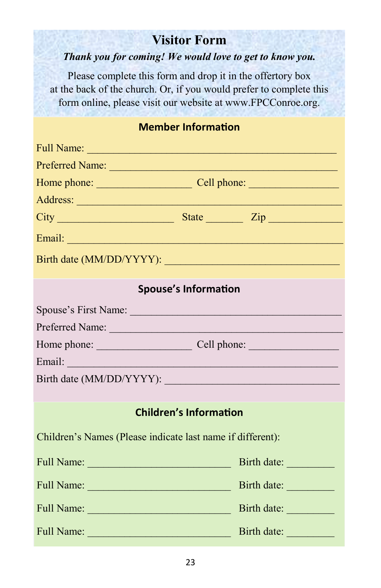### **Visitor Form**

#### *Thank you for coming! We would love to get to know you.*

Please complete this form and drop it in the offertory box at the back of the church. Or, if you would prefer to complete this form online, please visit our website at www.FPCConroe.org.

#### **Member Information**

|                                                            | Address: <u>Address:</u> Address: Address: Address: Address: Address: Address: Address: Address: Address: Address: Address: Address: Address: Address: Address: Address: Address: Address: Address: Address: Address: Address: Addr                                                                                                     |  |
|------------------------------------------------------------|-----------------------------------------------------------------------------------------------------------------------------------------------------------------------------------------------------------------------------------------------------------------------------------------------------------------------------------------|--|
|                                                            | $City$ $\rule{1em}{0.15mm}$ $\rule{1em}{0.15mm}$ $\qquad$ $\qquad$ $\qquad$ $\qquad$ $\qquad$ $\qquad$ $\qquad$ $\qquad$ $\qquad$ $\qquad$ $\qquad$ $\qquad$ $\qquad$ $\qquad$ $\qquad$ $\qquad$ $\qquad$ $\qquad$ $\qquad$ $\qquad$ $\qquad$ $\qquad$ $\qquad$ $\qquad$ $\qquad$ $\qquad$ $\qquad$ $\qquad$ $\qquad$ $\qquad$ $\qquad$ |  |
|                                                            |                                                                                                                                                                                                                                                                                                                                         |  |
|                                                            |                                                                                                                                                                                                                                                                                                                                         |  |
|                                                            | <b>Spouse's Information</b>                                                                                                                                                                                                                                                                                                             |  |
| Spouse's First Name:                                       |                                                                                                                                                                                                                                                                                                                                         |  |
| Preferred Name:                                            |                                                                                                                                                                                                                                                                                                                                         |  |
| Home phone: Cell phone: Cell phone:                        |                                                                                                                                                                                                                                                                                                                                         |  |
| Email: <u>Alexandre Communication</u>                      |                                                                                                                                                                                                                                                                                                                                         |  |
|                                                            |                                                                                                                                                                                                                                                                                                                                         |  |
|                                                            |                                                                                                                                                                                                                                                                                                                                         |  |
|                                                            | <b>Children's Information</b>                                                                                                                                                                                                                                                                                                           |  |
| Children's Names (Please indicate last name if different): |                                                                                                                                                                                                                                                                                                                                         |  |
|                                                            | Birth date:                                                                                                                                                                                                                                                                                                                             |  |
|                                                            | Birth date:                                                                                                                                                                                                                                                                                                                             |  |
|                                                            | Birth date:                                                                                                                                                                                                                                                                                                                             |  |
|                                                            |                                                                                                                                                                                                                                                                                                                                         |  |